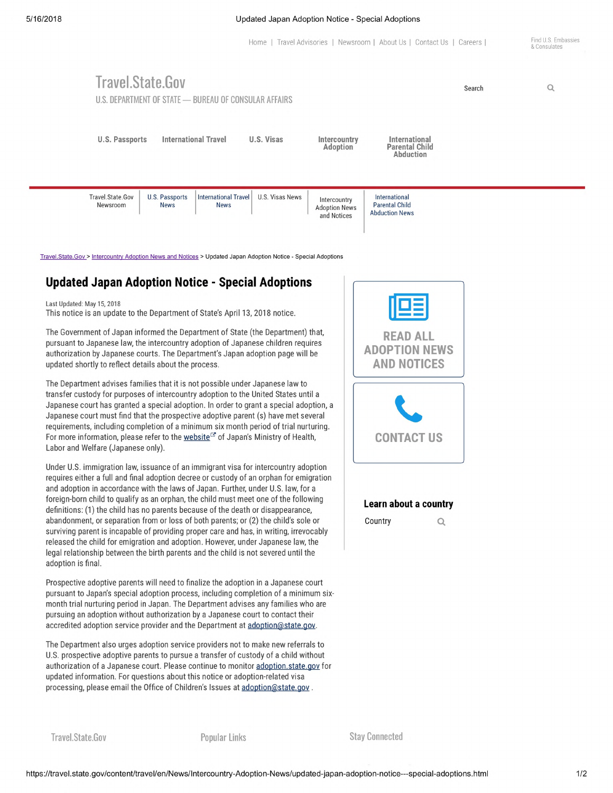### 5/16/2018 Updated Japan Adoption Notice - Special Adoptions

Home | Travel Advisories | Newsroom | About Us | Contact Us | Careers | Find U.S. Embassies

# **Travel.State.Gov U.S. DEPARTMENT OF STATE - BUREAU OF CONSULAR AFFAIRS** Search Q **U.S. Passports International Travel U.S. Visas Intercountry International Adoption Parental Child Abduction** Travel.State.Gov U.S. Passports International Travel U.S. Visas News Intercountry Newsroom News News News Adoption News Parental Child and Notices International<br>Parental Child Abduction News

Travel.State.Gov > Intercountrv Adoption News and Notices > Updated Japan Adoption Notice - Special Adoptions

## Updated Japan Adoption Notice - Special Adoptions

Last Updated: May 15, 2018 This notice is an update to the Department of State's April 13, 2018 notice.

The Government of Japan informed the Department of State (the Department) that, pursuant to Japanese law, the intercountry adoption of Japanese children requires authorization by Japanese courts. The Department's Japan adoption page will be updated shortly to reflect details about the process.

The Department advises families that it is not possible under Japanese law to transfer custody for purposes of intercountry adoption to the United States until <sup>a</sup> Japanese court has granted a special adoption. In order to grant a special adoption, a Japanese court must find that the prospective adoptive parent (s) have met several requirements, including completion of a minimum six month period of trial nurturing. For more information, please refer to the website<sup>c</sup> of Japan's Ministry of Health, Labor and Welfare (Japanese only).

Under U.S. immigration law, issuance of an immigrant visa for intercountry adoption requires either a full and final adoption decree or custody of an orphan for emigration and adoption in accordance with the laws of Japan. Further, under U.S. law, for a foreign-born child to qualify as an orphan, the child must meet one of the following definitions: (1) the child has no parents because of the death or disappearance, abandonment, or separation from or loss of both parents; or (2) the child's sole or surviving parent is incapable of providing proper care and has, in writing, irrevocably released the child for emigration and adoption. However, under Japanese law, the legal relationship between the birth parents and the child is not severed until the adoption is final.

Prospective adoptive parents will need to finalize the adoption in a Japanese court pursuant to Japan's special adoption process, including completion of a minimum sixmonth trial nurturing period in Japan. The Department advises any families who are pursuing an adoption without authorization by a Japanese court to contact their accredited adoption service provider and the Department at adoption@state.gov.

The Department also urges adoption service providers not to make new referrals to U.S. prospective adoptive parents to pursue a transfer of custody of a child without authorization of a Japanese court. Please continue to monitor adoption.state.gov for updated information. For questions about this notice or adoption-related visa processing, please email the Office of Children's Issues at adoption@state.gov.



## Learn about a country

 $\alpha$ 

**Country** 

**Travel.State.Gov Popular Links Stay Connected**